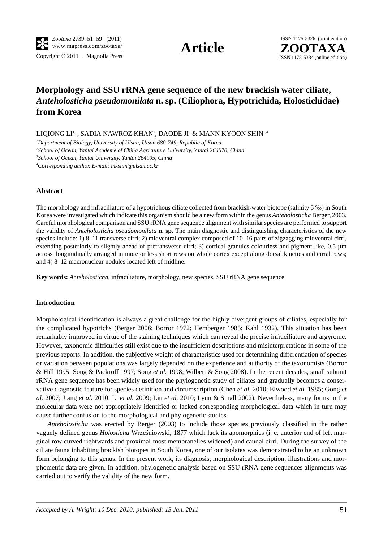Copyright  $\odot$  2011 · Magnolia Press ISSN 1175-5334 (online edition)



# **Morphology and SSU rRNA gene sequence of the new brackish water ciliate,** *Anteholosticha pseudomonilata* **n. sp. (Ciliophora, Hypotrichida, Holostichidae) from Korea**

LIQIONG LI<sup>1,2</sup>, SADIA NAWROZ KHAN<sup>1</sup>, DAODE JI<sup>3</sup> & MANN KYOON SHIN<sup>1,4</sup>

 *Department of Biology, University of Ulsan, Ulsan 680-749, Republic of Korea School of Ocean, Yantai Academe of China Agriculture University, Yantai 264670, China School of Ocean, Yantai University, Yantai 264005, China Corresponding author. E-mail: mkshin@ulsan.ac.kr*

## **Abstract**

The morphology and infraciliature of a hypotrichous ciliate collected from brackish-water biotope (salinity 5 ‰) in South Korea were investigated which indicate this organism should be a new form within the genus *Anteholosticha* Berger, 2003. Careful morphological comparison and SSU rRNA gene sequence alignment with similar species are performed to support the validity of *Anteholosticha pseudomonilata* **n. sp.** The main diagnostic and distinguishing characteristics of the new species include: 1) 8–11 transverse cirri; 2) midventral complex composed of 10–16 pairs of zigzagging midventral cirri, extending posteriorly to slightly ahead of pretransverse cirri; 3) cortical granules colourless and pigment-like, 0.5 µm across, longitudinally arranged in more or less short rows on whole cortex except along dorsal kineties and cirral rows; and 4) 8–12 macronuclear nodules located left of midline.

**Key words:** *Anteholosticha*, infraciliature, morphology, new species, SSU rRNA gene sequence

### **Introduction**

Morphological identification is always a great challenge for the highly divergent groups of ciliates, especially for the complicated hypotrichs (Berger 2006; Borror 1972; Hemberger 1985; Kahl 1932). This situation has been remarkably improved in virtue of the staining techniques which can reveal the precise infraciliature and argyrome. However, taxonomic difficulties still exist due to the insufficient descriptions and misinterpretations in some of the previous reports. In addition, the subjective weight of characteristics used for determining differentiation of species or variation between populations was largely depended on the experience and authority of the taxonomists (Borror & Hill 1995; Song & Packroff 1997; Song *et al.* 1998; Wilbert & Song 2008). In the recent decades, small subunit rRNA gene sequence has been widely used for the phylogenetic study of ciliates and gradually becomes a conservative diagnostic feature for species definition and circumscription (Chen *et al.* 2010; Elwood *et al.* 1985; Gong *et al.* 2007; Jiang *et al.* 2010; Li *et al.* 2009; Liu *et al.* 2010; Lynn & Small 2002). Nevertheless, many forms in the molecular data were not appropriately identified or lacked corresponding morphological data which in turn may cause further confusion to the morphological and phylogenetic studies.

*Anteholosticha* was erected by Berger (2003) to include those species previously classified in the rather vaguely defined genus *Holosticha* Wrześniowski, 1877 which lack its apomorphies (i. e. anterior end of left marginal row curved rightwards and proximal-most membranelles widened) and caudal cirri. During the survey of the ciliate fauna inhabiting brackish biotopes in South Korea, one of our isolates was demonstrated to be an unknown form belonging to this genus. In the present work, its diagnosis, morphological description, illustrations and morphometric data are given. In addition, phylogenetic analysis based on SSU rRNA gene sequences alignments was carried out to verify the validity of the new form.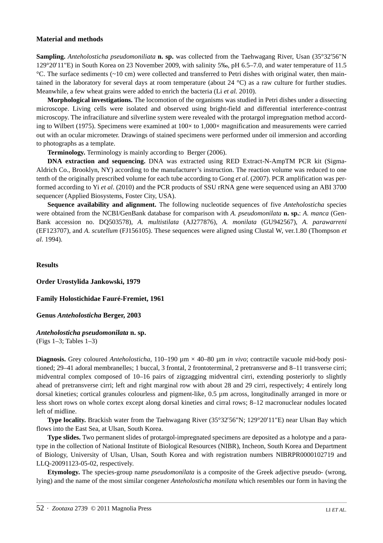#### **Material and methods**

**Sampling.** *Anteholosticha pseudomoniliata* **n. sp.** was collected from the Taehwagang River, Usan (35°32′56"N 129°20′11"E) in South Korea on 23 November 2009, with salinity 5‰, pH 6.5–7.0, and water temperature of 11.5  $°C$ . The surface sediments ( $~10$  cm) were collected and transferred to Petri dishes with original water, then maintained in the laboratory for several days at room temperature (about 24  $^{\circ}$ C) as a raw culture for further studies. Meanwhile, a few wheat grains were added to enrich the bacteria (Li *et al.* 2010).

**Morphological investigations.** The locomotion of the organisms was studied in Petri dishes under a dissecting microscope. Living cells were isolated and observed using bright-field and differential interference-contrast microscopy. The infraciliature and silverline system were revealed with the protargol impregnation method according to Wilbert (1975). Specimens were examined at  $100 \times$  to  $1,000 \times$  magnification and measurements were carried out with an ocular micrometer. Drawings of stained specimens were performed under oil immersion and according to photographs as a template.

**Terminology.** Terminology is mainly according to Berger (2006).

**DNA extraction and sequencing.** DNA was extracted using RED Extract-N-AmpTM PCR kit (Sigma-Aldrich Co., Brooklyn, NY) according to the manufacturer's instruction. The reaction volume was reduced to one tenth of the originally prescribed volume for each tube according to Gong *et al*. (2007). PCR amplification was performed according to Yi *et al*. (2010) and the PCR products of SSU rRNA gene were sequenced using an ABI 3700 sequencer (Applied Biosystems, Foster City, USA).

**Sequence availability and alignment.** The following nucleotide sequences of five *Anteholosticha* species were obtained from the NCBI/GenBank database for comparison with *A. pseudomonilata* **n. sp.**: *A. manca* (Gen-Bank accession no. DQ503578), *A. multistilata* (AJ277876), *A. monilata* (GU942567), *A. parawarreni* (EF123707), and *A. scutellum* (FJ156105). These sequences were aligned using Clustal W, ver.1.80 (Thompson *et al*. 1994).

#### **Results**

**Order Urostylida Jankowski, 1979**

**Family Holostichidae Fauré-Fremiet, 1961**

**Genus** *Anteholosticha* **Berger, 2003**

## *Anteholosticha pseudomonilata* **n. sp.**

(Figs 1–3; Tables 1–3)

**Diagnosis.** Grey coloured *Anteholosticha*, 110–190 µm × 40–80 µm *in vivo*; contractile vacuole mid-body positioned; 29–41 adoral membranelles; 1 buccal, 3 frontal, 2 frontoterminal, 2 pretransverse and 8–11 transverse cirri; midventral complex composed of 10–16 pairs of zigzagging midventral cirri, extending posteriorly to slightly ahead of pretransverse cirri; left and right marginal row with about 28 and 29 cirri, respectively; 4 entirely long dorsal kineties; cortical granules colourless and pigment-like, 0.5 µm across, longitudinally arranged in more or less short rows on whole cortex except along dorsal kineties and cirral rows; 8–12 macronuclear nodules located left of midline.

**Type locality.** Brackish water from the Taehwagang River (35°32′56"N; 129°20′11"E) near Ulsan Bay which flows into the East Sea, at Ulsan, South Korea.

**Type slides.** Two permanent slides of protargol-impregnated specimens are deposited as a holotype and a paratype in the collection of National Institute of Biological Resources (NIBR), Incheon, South Korea and Department of Biology, University of Ulsan, Ulsan, South Korea and with registration numbers NIBRPR0000102719 and LLQ-20091123-05-02, respectively.

**Etymology.** The species-group name *pseudomonilata* is a composite of the Greek adjective pseudo- (wrong, lying) and the name of the most similar congener *Anteholosticha monilata* which resembles our form in having the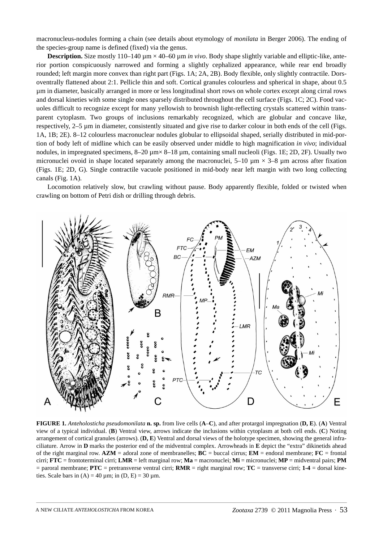macronucleus-nodules forming a chain (see details about etymology of *monilata* in Berger 2006). The ending of the species-group name is defined (fixed) via the genus.

**Description.** Size mostly 110–140  $\mu$ m  $\times$  40–60  $\mu$ m *in vivo*. Body shape slightly variable and elliptic-like, anterior portion conspicuously narrowed and forming a slightly cephalized appearance, while rear end broadly rounded; left margin more convex than right part (Figs. 1A; 2A, 2B). Body flexible, only slightly contractile. Dorsoventrally flattened about 2:1. Pellicle thin and soft. Cortical granules colourless and spherical in shape, about 0.5 µm in diameter, basically arranged in more or less longitudinal short rows on whole cortex except along cirral rows and dorsal kineties with some single ones sparsely distributed throughout the cell surface (Figs. 1C; 2C). Food vacuoles difficult to recognize except for many yellowish to brownish light-reflecting crystals scattered within transparent cytoplasm. Two groups of inclusions remarkably recognized, which are globular and concave like, respectively, 2–5 µm in diameter, consistently situated and give rise to darker colour in both ends of the cell (Figs. 1A, 1B; 2E). 8–12 colourless macronuclear nodules globular to ellipsoidal shaped, serially distributed in mid-portion of body left of midline which can be easily observed under middle to high magnification *in vivo*; individual nodules, in impregnated specimens,  $8-20 \mu m \times 8-18 \mu m$ , containing small nucleoli (Figs. 1E; 2D, 2F). Usually two micronuclei ovoid in shape located separately among the macronuclei,  $5-10 \text{ µm} \times 3-8 \text{ µm}$  across after fixation (Figs. 1E; 2D, G). Single contractile vacuole positioned in mid-body near left margin with two long collecting canals (Fig. 1A).

Locomotion relatively slow, but crawling without pause. Body apparently flexible, folded or twisted when crawling on bottom of Petri dish or drilling through debris.



**FIGURE 1.** *Anteholosticha pseudomonilata* **n. sp.** from live cells (**A**–**C**), and after protargol impregnation (**D, E**). (**A**) Ventral view of a typical individual. (**B**) Ventral view, arrows indicate the inclusions within cytoplasm at both cell ends. (**C**) Noting arrangement of cortical granules (arrows). (**D, E**) Ventral and dorsal views of the holotype specimen, showing the general infraciliature. Arrow in **D** marks the posterior end of the midventral complex. Arrowheads in **E** depict the "extra" dikinetids ahead of the right marginal row. **AZM** = adoral zone of membranelles; **BC** = buccal cirrus; **EM** = endoral membrane; **FC** = frontal cirri; **FTC** = frontoterminal cirri; **LMR** = left marginal row; **Ma** = macronuclei; **Mi** = micronuclei; **MP** = midventral pairs; **PM** = paroral membrane; **PTC** = pretransverse ventral cirri; **RMR** = right marginal row; **TC** = transverse cirri; **1-4** = dorsal kineties. Scale bars in  $(A) = 40 \mu m$ ; in  $(D, E) = 30 \mu m$ .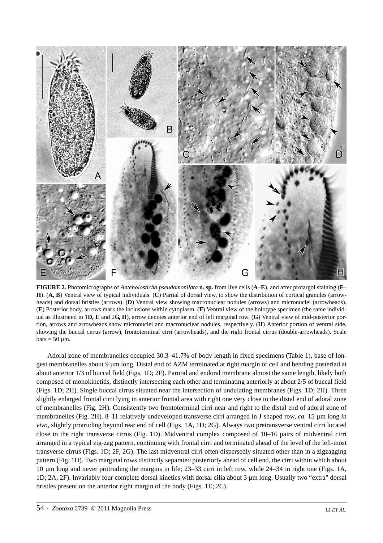

**FIGURE 2.** Photomicrographs of *Anteholosticha pseudomonilata* **n. sp.** from live cells (**A**–**E**), and after protargol staining (**F**– **H**). (**A, B**) Ventral view of typical individuals. (**C**) Partial of dorsal view, to show the distribution of cortical granules (arrowheads) and dorsal bristles (arrows). (**D**) Ventral view showing macronuclear nodules (arrows) and micronuclei (arrowheads). (**E**) Posterior body, arrows mark the inclusions within cytoplasm. (**F**) Ventral view of the holotype specimen (the same individual as illustrated in 1**D, E** and 2**G, H**), arrow denotes anterior end of left marginal row. (**G**) Ventral view of mid-posterior portion, arrows and arrowheads show micronuclei and macronuclear nodules, respectively. (**H**) Anterior portion of ventral side, showing the buccal cirrus (arrow), frontoterminal cirri (arrowheads), and the right frontal cirrus (double-arrowheads). Scale  $bars = 50 \mu m$ .

Adoral zone of membranelles occupied 30.3–41.7% of body length in fixed specimens (Table 1), base of longest membranelles about 9 µm long. Distal end of AZM terminated at right margin of cell and bending posteriad at about anterior 1/3 of buccal field (Figs. 1D; 2F). Paroral and endoral membrane almost the same length, likely both composed of monokinetids, distinctly intersecting each other and terminating anteriorly at about 2/5 of buccal field (Figs. 1D; 2H). Single buccal cirrus situated near the intersection of undulating membranes (Figs. 1D; 2H). Three slightly enlarged frontal cirri lying in anterior frontal area with right one very close to the distal end of adoral zone of membranelles (Fig. 2H). Consistently two frontoterminal cirri near and right to the distal end of adoral zone of membranelles (Fig. 2H). 8–11 relatively undeveloped transverse cirri arranged in J-shaped row, *ca.* 15 µm long *in vivo*, slightly protruding beyond rear end of cell (Figs. 1A, 1D; 2G). Always two pretransverse ventral cirri located close to the right transverse cirrus (Fig. 1D). Midventral complex composed of 10–16 pairs of midventral cirri arranged in a typical zig-zag pattern, continuing with frontal cirri and terminated ahead of the level of the left-most transverse cirrus (Figs. 1D; 2F, 2G). The last midventral cirri often dispersedly situated other than in a zigzagging pattern (Fig. 1D). Two marginal rows distinctly separated posteriorly ahead of cell end, the cirri within which about 10 µm long and never protruding the margins in life; 23–33 cirri in left row, while 24–34 in right one (Figs. 1A, 1D; 2A, 2F). Invariably four complete dorsal kineties with dorsal cilia about 3 µm long. Usually two "extra" dorsal bristles present on the anterior right margin of the body (Figs. 1E; 2C).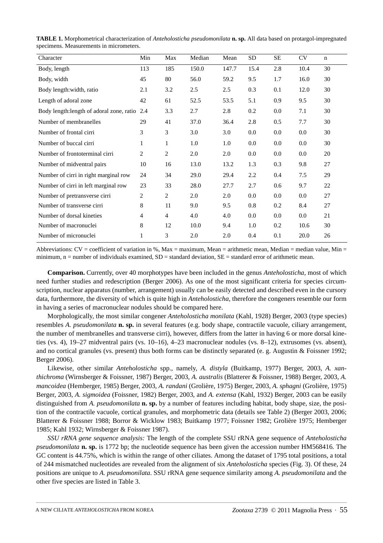| Character                                 | Min | Max            | Median | Mean  | ${\rm SD}$ | SE  | <b>CV</b> | n  |
|-------------------------------------------|-----|----------------|--------|-------|------------|-----|-----------|----|
| Body, length                              | 113 | 185            | 150.0  | 147.7 | 15.4       | 2.8 | 10.4      | 30 |
| Body, width                               | 45  | 80             | 56.0   | 59.2  | 9.5        | 1.7 | 16.0      | 30 |
| Body length: width, ratio                 | 2.1 | 3.2            | 2.5    | 2.5   | 0.3        | 0.1 | 12.0      | 30 |
| Length of adoral zone                     | 42  | 61             | 52.5   | 53.5  | 5.1        | 0.9 | 9.5       | 30 |
| Body length: length of adoral zone, ratio | 2.4 | 3.3            | 2.7    | 2.8   | 0.2        | 0.0 | 7.1       | 30 |
| Number of membranelles                    | 29  | 41             | 37.0   | 36.4  | 2.8        | 0.5 | 7.7       | 30 |
| Number of frontal cirri                   | 3   | 3              | 3.0    | 3.0   | 0.0        | 0.0 | 0.0       | 30 |
| Number of buccal cirri                    | 1   | 1              | 1.0    | 1.0   | 0.0        | 0.0 | 0.0       | 30 |
| Number of frontoterminal cirri            | 2   | $\overline{c}$ | 2.0    | 2.0   | 0.0        | 0.0 | 0.0       | 20 |
| Number of midventral pairs                | 10  | 16             | 13.0   | 13.2  | 1.3        | 0.3 | 9.8       | 27 |
| Number of cirri in right marginal row     | 24  | 34             | 29.0   | 29.4  | 2.2        | 0.4 | 7.5       | 29 |
| Number of cirri in left marginal row      | 23  | 33             | 28.0   | 27.7  | 2.7        | 0.6 | 9.7       | 22 |
| Number of pretransverse cirri             | 2   | $\overline{2}$ | 2.0    | 2.0   | 0.0        | 0.0 | 0.0       | 27 |
| Number of transverse cirri                | 8   | 11             | 9.0    | 9.5   | 0.8        | 0.2 | 8.4       | 27 |
| Number of dorsal kineties                 | 4   | $\overline{4}$ | 4.0    | 4.0   | 0.0        | 0.0 | 0.0       | 21 |
| Number of macronuclei                     | 8   | 12             | 10.0   | 9.4   | 1.0        | 0.2 | 10.6      | 30 |
| Number of micronuclei                     | 1   | 3              | 2.0    | 2.0   | 0.4        | 0.1 | 20.0      | 26 |

**TABLE 1.** Morphometrical characterization of *Anteholosticha pseudomonilata* **n. sp.** All data based on protargol-impregnated specimens. Measurements in micrometers.

Abbreviations:  $CV = coefficient$  of variation in %, Max = maximum, Mean = arithmetic mean, Median = median value, Min = minimum,  $n =$  number of individuals examined,  $SD =$  standard deviation,  $SE =$  standard error of arithmetic mean.

**Comparison.** Currently, over 40 morphotypes have been included in the genus *Anteholosticha*, most of which need further studies and redescription (Berger 2006). As one of the most significant criteria for species circumscription, nuclear apparatus (number, arrangement) usually can be easily detected and described even in the cursory data, furthermore, the diversity of which is quite high in *Anteholosticha*, therefore the congeners resemble our form in having a series of macronuclear nodules should be compared here.

Morphologically, the most similar congener *Anteholosticha monilata* (Kahl, 1928) Berger, 2003 (type species) resembles *A. pseudomonilata* **n. sp.** in several features (e.g. body shape, contractile vacuole, ciliary arrangement, the number of membranelles and transverse cirri), however, differs from the latter in having 6 or more dorsal kineties (vs. 4), 19–27 midventral pairs (vs. 10–16), 4–23 macronuclear nodules (vs. 8–12), extrusomes (vs. absent), and no cortical granules (vs. present) thus both forms can be distinctly separated (e. g. Augustin & Foissner 1992; Berger 2006).

Likewise, other similar *Anteholosticha* spp., namely, *A. distyla* (Buitkamp, 1977) Berger, 2003, *A. xanthichroma* (Wirnsberger & Foissner, 1987) Berger, 2003, *A. australis* (Blatterer & Foissner, 1988) Berger, 2003, *A. mancoidea* (Hemberger, 1985) Berger, 2003, *A. randani* (Grolière, 1975) Berger, 2003, *A. sphagni* (Grolière, 1975) Berger, 2003, *A. sigmoidea* (Foissner, 1982) Berger, 2003, and *A. extensa* (Kahl, 1932) Berger, 2003 can be easily distinguished from *A. pseudomonilata* **n. sp.** by a number of features including habitat, body shape, size, the position of the contractile vacuole, cortical granules, and morphometric data (details see Table 2) (Berger 2003, 2006; Blatterer & Foissner 1988; Borror & Wicklow 1983; Buitkamp 1977; Foissner 1982; Grolière 1975; Hemberger 1985; Kahl 1932; Wirnsberger & Foissner 1987).

*SSU rRNA gene sequence analysis:* The length of the complete SSU rRNA gene sequence of *Anteholosticha pseudomonilata* **n. sp.** is 1772 bp; the nucleotide sequence has been given the accession number HM568416. The GC content is 44.75%, which is within the range of other ciliates. Among the dataset of 1795 total positions, a total of 244 mismatched nucleotides are revealed from the alignment of six *Anteholosticha* species (Fig. 3). Of these, 24 positions are unique to *A. pseudomonilata*. SSU rRNA gene sequence similarity among *A. pseudomonilata* and the other five species are listed in Table 3.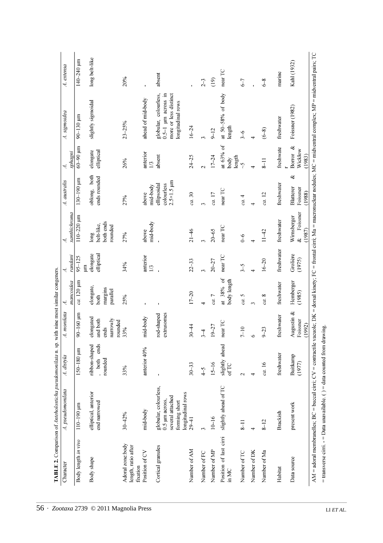|                                                     | TABLE 2. Comparison of Anteholosticha pseudomonilata n. sp.                                                                                         |                                            |                                                      | with nine most similar congeners.        |                             |                                            |                                                                   |                                              |                                                                                                                                |                     |
|-----------------------------------------------------|-----------------------------------------------------------------------------------------------------------------------------------------------------|--------------------------------------------|------------------------------------------------------|------------------------------------------|-----------------------------|--------------------------------------------|-------------------------------------------------------------------|----------------------------------------------|--------------------------------------------------------------------------------------------------------------------------------|---------------------|
| Character                                           | A. pseudomonilata                                                                                                                                   | A. distyla                                 | A. monilata                                          | 4                                        | 4.                          | 4                                          | A. australis                                                      | 4.                                           | A. sigmoidea                                                                                                                   | A. extensa          |
|                                                     |                                                                                                                                                     |                                            |                                                      | mancoidea                                | randani                     | xanthichroma                               |                                                                   | sphagni                                      |                                                                                                                                |                     |
| Body length in vivo                                 | $110 - 190$ $\mu$ m                                                                                                                                 | $150 - 180$ $\mu$ m                        | $90 - 160$ µm                                        | ca. 120 µm                               | $95 - 125$<br>$\mathbf{m}$  | $110 - 220$ $\mu$ m                        | $130 - 190$ $\mu$ m                                               | $m106 - 09$                                  | $90 - 130$ $\mu m$                                                                                                             | $140 - 240$ $\mu$ m |
| Body shape                                          | elliptical, anterior<br>end narrowed                                                                                                                | ends<br>ribbon-shaped<br>, both<br>rounded | elongated<br>narrowly<br>and both<br>rounded<br>ends | elongate,<br>margins<br>parallel<br>both | elongate<br>elliptical      | both ends<br>belt-like,<br>rounded<br>long | oblong, both<br>ends rounded                                      | elongate<br>elliptical                       | slightly sigmoidal                                                                                                             | long belt-like      |
| Adoral zone:body<br>length, ratio after<br>fixation | $30 - 42%$                                                                                                                                          | 33%                                        | 33%                                                  | 25%                                      | 34%                         | 27%                                        | 27%                                                               | 26%                                          | $23 - 25%$                                                                                                                     | 20%                 |
| Position of CV                                      | mid-body                                                                                                                                            | anterior 40%                               | mid-body                                             |                                          | anterior<br>$\overline{13}$ | mid-body<br>above                          | mid-body<br>above                                                 | anterior<br>$\overline{13}$                  | ahead of mid-body                                                                                                              | f,                  |
| Cortical granules                                   | globular, colourless,<br>longitudinal rows<br>several attached<br>$0.5 \mu m$ across,<br>forming short                                              | $\mathbf I$                                | extrusomes<br>rod-shaped                             |                                          |                             |                                            | $2.5 \times 1.5 \text{ }\mu\text{m}$<br>ellipsoidal<br>colourless | absent                                       | more or less distinct<br>globular, colourless,<br>$0.5-1$ µm across in<br>longitudinal rows                                    | absent              |
| Number of AM                                        | $29 - 41$                                                                                                                                           | $30 - 33$                                  | $30 - 44$                                            | $17 - 20$                                | $22 - 33$                   | $21 - 46$                                  | ca. 30                                                            | $24 - 25$                                    | $16 - 24$                                                                                                                      |                     |
| Number of FC                                        | ξ                                                                                                                                                   | $-5$                                       | $\overline{1}$                                       | 4                                        | $\mathfrak{g}$              | $\mathcal{E}$                              | $\tilde{ }$                                                       | $\mathbf{\mathcal{L}}$                       |                                                                                                                                | $2-3$               |
| Number of MP                                        | $10 - 16$                                                                                                                                           | $15 - 16$                                  | $19 - 27$                                            | ca.7                                     | $20 - 27$                   | $20 - 65$                                  | $ca.$ l<br>7 $\,$                                                 | $17 - 24$                                    | $9 - 12$                                                                                                                       | (19)                |
| Position of last cirri<br>in $MC$                   | slightly ahead of TC                                                                                                                                | slightly ahead<br>ofTC                     | near TC                                              | at 38% of<br>body length                 | near TC                     | near TC                                    | near TC                                                           | at 63% of<br>length<br>body                  | at 50-58% of body<br>length                                                                                                    | near TC             |
| Number of TC                                        | $8 - 11$                                                                                                                                            | $\sim$                                     | $7 - 10$                                             | 5<br>ca.                                 | $5-5$                       | $\sqrt{6}$                                 | ca.4                                                              | $\zeta$                                      | $\sqrt{6}$                                                                                                                     | $6-7$               |
| Number of DK                                        | 4                                                                                                                                                   | 4                                          | 6                                                    | $\mathcal{E}$                            | 4                           | 4                                          | 4                                                                 | 4                                            | 4                                                                                                                              |                     |
| Number of Ma                                        | $8 - 12$                                                                                                                                            | ca. 16                                     | $9 - 23$                                             | ∞<br>ca.                                 | $16 - 20$                   | $11 - 42$                                  | $ca.\;12$                                                         | $8 - 11$                                     | $(6-8)$                                                                                                                        | $6-8$               |
| Habitat                                             | Brackish                                                                                                                                            | freshwater                                 | freshwater                                           | freshwater                               | freshwater                  | freshwater                                 | freshwater                                                        | freshwate                                    | freshwater                                                                                                                     | marine              |
| Data source                                         | present work                                                                                                                                        | Buitkamp<br>(1977)                         | Augustin $\&$<br>Foissner<br>(1992)                  | Hemberger<br>(1985)                      | Grolière<br>(1975)          | Foissner<br>Wirnsberger<br>(1987)<br>&     | ళ<br>Blatterer<br>Foissner<br>(1988)                              | Borror <sub>&amp;</sub><br>Wicklow<br>(1983) | Foissner (1982)                                                                                                                | Kahl (1932)         |
|                                                     | = transverse cirri. $-$ = Data unavailable. ( $)$ = data counted from drawing.<br>AM = adoral membranelles; BC = buccal cirri; $CV =$ contractile v |                                            |                                                      |                                          |                             |                                            |                                                                   |                                              | vacuole; DK = dorsal kinety; FC = frontal cirri; Ma = macronuclear nodules; MC = midventral complex; MP = midventral pairs; TC |                     |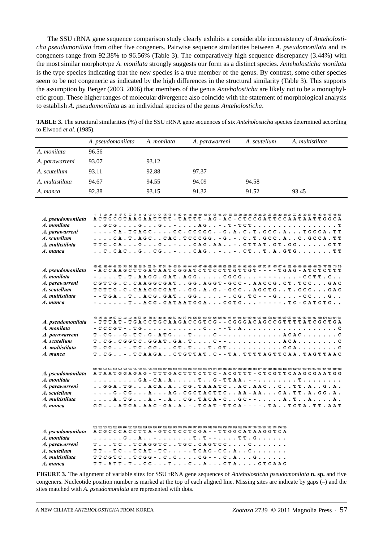The SSU rRNA gene sequence comparison study clearly exhibits a considerable inconsistency of *Anteholosticha pseudomonilata* from other five congeners. Pairwise sequence similarities between *A*. *pseudomonilata* and its congeners range from 92.38% to 96.56% (Table 3). The comparatively high sequence discrepancy (3.44%) with the most similar morphotype *A. monilata* strongly suggests our form as a distinct species. *Anteholosticha monilata* is the type species indicating that the new species is a true member of the genus. By contrast, some other species seem to be not congeneric as indicated by the high differences in the structural similarity (Table 3). This supports the assumption by Berger (2003, 2006) that members of the genus *Anteholosticha* are likely not to be a monophyletic group. These higher ranges of molecular divergence also coincide with the statement of morphological analysis to establish *A. pseudomonilata* as an individual species of the genus *Anteholosticha*.

|                                                                                                   | A. pseudomonilata | A. monilata | A. parawarreni                                                                                                                                                                                                                                                                                                                                                                                                                                                                                                                                                                                                    | A. scutellum | A. multistilata |
|---------------------------------------------------------------------------------------------------|-------------------|-------------|-------------------------------------------------------------------------------------------------------------------------------------------------------------------------------------------------------------------------------------------------------------------------------------------------------------------------------------------------------------------------------------------------------------------------------------------------------------------------------------------------------------------------------------------------------------------------------------------------------------------|--------------|-----------------|
| A. monilata                                                                                       | 96.56             |             |                                                                                                                                                                                                                                                                                                                                                                                                                                                                                                                                                                                                                   |              |                 |
| A. parawarreni                                                                                    | 93.07             | 93.12       |                                                                                                                                                                                                                                                                                                                                                                                                                                                                                                                                                                                                                   |              |                 |
| A. scutellum                                                                                      | 93.11             | 92.88       | 97.37                                                                                                                                                                                                                                                                                                                                                                                                                                                                                                                                                                                                             |              |                 |
| A. multistilata                                                                                   | 94.67             | 94.55       | 94.09                                                                                                                                                                                                                                                                                                                                                                                                                                                                                                                                                                                                             | 94.58        |                 |
| A. manca                                                                                          | 92.38             | 93.15       | 91.32                                                                                                                                                                                                                                                                                                                                                                                                                                                                                                                                                                                                             | 91.52        | 93.45           |
|                                                                                                   |                   |             |                                                                                                                                                                                                                                                                                                                                                                                                                                                                                                                                                                                                                   |              |                 |
| A. pseudomonilata<br>A. monilata<br>A. parawarreni                                                |                   |             | A C T G C G T A A G A A T T T T - T A T T T - A G - A C - C T C C G A T T C C A A T T A G T G G C A<br>. . GCG. G. G. . - A G. . - . T - T C T T<br>CA.TGAGCCC.CCCGG.-G.A.C.T.GCC.ATGCCA.TT                                                                                                                                                                                                                                                                                                                                                                                                                       |              |                 |
| A. scutellum                                                                                      |                   |             | CA. T. A G C C A C . T C C C G G . - G . - . C . T . G C C . A C . G C C A . T T                                                                                                                                                                                                                                                                                                                                                                                                                                                                                                                                  |              |                 |
| A. multistilata                                                                                   |                   |             | TTC.CAGGCAG.AA-.CTTAT.GT.GGCTT                                                                                                                                                                                                                                                                                                                                                                                                                                                                                                                                                                                    |              |                 |
| A. manca                                                                                          |                   |             |                                                                                                                                                                                                                                                                                                                                                                                                                                                                                                                                                                                                                   |              |                 |
| A. pseudomonilata<br>A. monilata<br>A. parawarreni<br>A. scutellum<br>A. multistilata<br>A. manca |                   |             | 491 442 443 444 446 500 515 516 520 521 531 532 534 537 541 631 631 640 640 640 652 663 663 669 660 661 662 663 664 667 670 670 670 670 670 670 682 683 665 666 669 690 60 706 717 709 715 719<br>- A C C A A G C T T G A T A A T C G G A T C T T C C T T G T T G T - - - - - T G A G - A T C T C T T T<br>- T . T . A A G G . G A T . A G G C G C G - - - - - C C T T . C<br>CGTTG.C.CAAGGCGATGG.AGGT-GCC-.AACCG.CT.TCCGAC<br>TGTTG.C.CAAGGCGATGG.A.G.-GCCAGCTGT.CCCGAC<br>- - TGA. . T. . ACG. GAT. . GG. - . CG. TC - - - G. - CC. G. .<br>- T A C G . G A T A A T G G A C G T G - - - - - . T C - C A T C T G |              |                 |
| A. pseudomonilata<br>A. monilata<br>A. parawarreni<br>A. scutellum<br>A. multistilata<br>A. manca |                   |             | - TTTAT - TGACCTGCAAGACCGTCG - - CGGGACAGCCGTTTTATCGCTGA<br>$T . C G G . T C . G . A T G T C - - A C A C C$<br>$T. CG. CGGCTC. GGAT. GA. T. \ldots. C-- \ldots. \ldots. ACA. \ldots. \ldots. C$<br>$T. CG. . - . TC. GG. CT. T. T. GT. CCA. C$<br>T . C G - . T C A A G A C T G T T A T . C - - T A . T T T T A G T T C A A . T A G T T A A C                                                                                                                                                                                                                                                                     |              |                 |
| A. pseudomonilata<br>A. monilata<br>A. parawarreni<br>A. scutellum<br>A. multistilata<br>A. manca |                   |             | ATAATGGAGAG - TTTGACTTTCTTC - ACGTTT - CTCGTTCAAGCGAATGG<br>GGA.TGACA.ACG.TAAATCAC.AACCTT.AG.A.<br>G.CGAAG.CGCTACTTCAA-AACA.TT.A.GG.A.<br>. A . T G A . - . A C G . T A C A - C G C - - A . T A A .<br>GG. ATGA . AAC - GA . A . - . TCAT - TTCA - - - - . TA TCTA . TT . AAT                                                                                                                                                                                                                                                                                                                                     |              |                 |
| A. pseudomonilata<br>A. monilata<br>A. parawarreni<br>A. scutellum<br>A. multistilata<br>A. manca |                   |             | ACGCCCACCTTA - GTCTCCTCGA - - TTGGCATAAGGTCA<br>. G A - T . T - - T T . G<br>$T$ $TC$ $TC$ AGGT $C$ $TCC$ . $C$ AGT $CC$ $C$<br>$TT$ $TC$ $TCAT-TC$ -. $TCAG-CC$ .A $C$<br>$TTCGTCTCGG-.CCCC---C.AG$<br>TT.ATT.TCG - - . T. . - C. . A - - . CTA GTCAAG                                                                                                                                                                                                                                                                                                                                                           |              |                 |

**TABLE 3.** The structural similarities (%) of the SSU rRNA gene sequences of six *Anteholosticha* species determined according to Elwood *et al*. (1985).

**FIGURE 3.** The alignment of variable sites for SSU rRNA gene sequences of *Anteholosticha pseudomonilata* **n. sp.** and five congeners. Nucleotide position number is marked at the top of each aligned line. Missing sites are indicate by gaps (–) and the sites matched with *A. pseudomonilata* are represented with dots.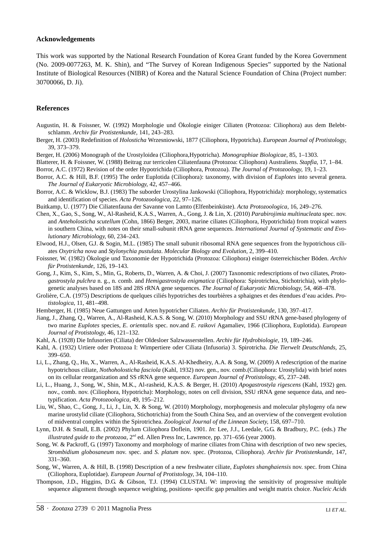#### **Acknowledgements**

This work was supported by the National Research Foundation of Korea Grant funded by the Korea Government (No. 2009-0077263, M. K. Shin), and "The Survey of Korean Indigenous Species" supported by the National Institute of Biological Resources (NIBR) of Korea and the Natural Science Foundation of China (Project number: 30700066, D. Ji).

#### **References**

- Augustin, H. & Foissner, W. (1992) Morphologie und Ökologie einiger Ciliaten (Protozoa: Ciliophora) aus dem Belebtschlamm. *Archiv für Protistenkunde*, 141, 243–283.
- Berger, H. (2003) Redefinition of *Holosticha* Wrzesniowski, 1877 (Ciliophora, Hypotricha). *European Journal of Protistology*, 39, 373–379.
- Berger, H. (2006) Monograph of the Urostyloidea (Ciliophora,Hypotricha). *Monographiae Biologicae,* 85, 1–1303.
- Blatterer, H. & Foissner, W. (1988) Beitrag zur terricolen Ciliatenfauna (Protozoa: Ciliophora) Australiens. *Stapfia*, 17, 1–84.
- Borror, A.C. (1972) Revision of the order Hypotrichida (Ciliophora, Protozoa). *The Journal of Protozoology,* 19, 1–23.
- Borror, A.C. & Hill, B.F. (1995) The order Euplotida (Ciliophora): taxonomy, with division of *Euplotes* into several genera. *The Journal of Eukaryotic Microbiology,* 42, 457–466.
- Borror, A.C. & Wicklow, B.J. (1983) The suborder Urostylina Jankowski (Ciliophora, Hypotrichida): morphology, systematics and identification of species. *Acta Protozoologica,* 22, 97–126.
- Buitkamp, U. (1977) Die Ciliatenfauna der Savanne von Lamto (Elfenbeinküste). *Acta Protozoologica,* 16, 249–276.
- Chen, X., Gao, S., Song, W., Al-Rasheid, K.A.S., Warren, A., Gong, J. & Lin, X. (2010) *Parabirojimia multinucleata* spec. nov. and *Anteholosticha scutellum* (Cohn, 1866) Berger, 2003, marine ciliates (Ciliophora, Hypotrichida) from tropical waters in southern China, with notes on their small-subunit rRNA gene sequences. *International Journal of Systematic and Evolutionary Microbiology,* 60, 234–243.
- Elwood, H.J., Olsen, G.J. & Sogin, M.L. (1985) The small subunit ribosomal RNA gene sequences from the hypotrichous ciliates *Oxytricha nova* and *Stylonychia pustulata*. *Molecular Biology and Evolution*, 2, 399–410.
- Foissner, W. (1982) Ökologie und Taxonomie der Hypotrichida (Protozoa: Ciliophora) einiger österreichischer Böden. *Archiv für Protistenkunde*, 126, 19–143.
- Gong, J., Kim, S., Kim, S., Min, G., Roberts, D., Warren, A. & Choi, J. (2007) Taxonomic redescriptions of two ciliates, *Protogastrostyla pulchra* n. g., n. comb. and *Hemigastrostyla enigmatica* (Ciliophora: Spirotrichea, Stichotrichia), with phylogenetic analyses based on 18S and 28S rRNA gene sequences. *The Journal of Eukaryotic Microbiology,* 54, 468–478.
- Grolière, C.A. (1975) Descriptions de quelques ciliés hypotriches des tourbières a sphaignes et des étendues d'eau acides. *Protistologica*, 11, 481–498.
- Hemberger, H. (1985) Neue Gattungen und Arten hypotricher Ciliaten. *Archiv für Protistenkunde*, 130, 397–417.
- Jiang, J., Zhang, Q., Warren, A., Al-Rasheid, K.A.S. & Song, W. (2010) Morphology and SSU rRNA gene-based phylogeny of two marine *Euplotes* species, *E. orientalis* spec. nov.and *E. raikovi* Agamaliev, 1966 (Ciliophora, Euplotida). *European Journal of Protistology,* 46, 121–132.
- Kahl, A. (1928) Die Infusorien (Ciliata) der Oldesloer Salzwasserstellen. *Archiv für Hydrobiologie,* 19, 189–246.
- Kahl, A. (1932) Urtiere oder Protozoa I: Wimpertiere oder Ciliata (Infusoria) 3. Spirotricha. *Die Tierwelt Deutschlands,* 25, 399–650.
- Li, L., Zhang, Q., Hu, X., Warren, A., Al-Rasheid, K.A.S. Al-Khedheiry, A.A. & Song, W. (2009) A redescription of the marine hypotrichous ciliate, *Nothoholosticha fasciola* (Kahl, 1932) nov. gen., nov. comb.(Ciliophora: Urostylida) with brief notes on its cellular reorganization and SS rRNA gene sequence. *European Journal of Protistology,* 45, 237–248.
- Li, L., Huang, J., Song, W., Shin, M.K., Al-rasheid, K.A.S. & Berger, H. (2010) *Apogastrostyla rigescens* (Kahl, 1932) gen. nov., comb. nov. (Ciliophora, Hypotricha): Morphology, notes on cell division, SSU rRNA gene sequence data, and neotypification. *Acta Protozoologica,* 49, 195–212.
- Liu, W., Shao, C., Gong, J., Li, J., Lin, X. & Song, W. (2010) Morphology, morphogenesis and molecular phylogeny ofa new marine urostylid ciliate (Ciliophora, Stichotrichia) from the South China Sea, and an overview of the convergent evolution of midventral complex within the Spirotrichea. *Zoological Journal of the Linnean Society,* 158, 697–710.
- Lynn, D.H. & Small, E.B. (2002) Phylum Ciliophora Doflein, 1901. *In*: Lee, J.J., Leedale, G.G. & Bradbury, P.C. (eds.) *The illustrated guide to the protozoa*, 2<sup>nd</sup> ed. Allen Press Inc, Lawrence, pp. 371–656 (year 2000).
- Song, W. & Packroff, G. (1997) Taxonomy and morphology of marine ciliates from China with description of two new species, *Strombidium globosaneum* nov. spec. and *S. platum* nov. spec. (Protozoa, Ciliophora). *Archiv für Protistenkunde*, 147, 331–360.
- Song, W., Warren, A. & Hill, B. (1998) Description of a new freshwater ciliate, *Euplotes shanghaiensis* nov. spec. from China (Ciliophora, Euplotidae). *European Journal of Protistology,* 34, 104–110.
- Thompson, J.D., Higgins, D.G. & Gibson, T.J. (1994) CLUSTAL W: improving the sensitivity of progressive multiple sequence alignment through sequence weighting, positions- specific gap penalties and weight matrix choice. *Nucleic Acids*